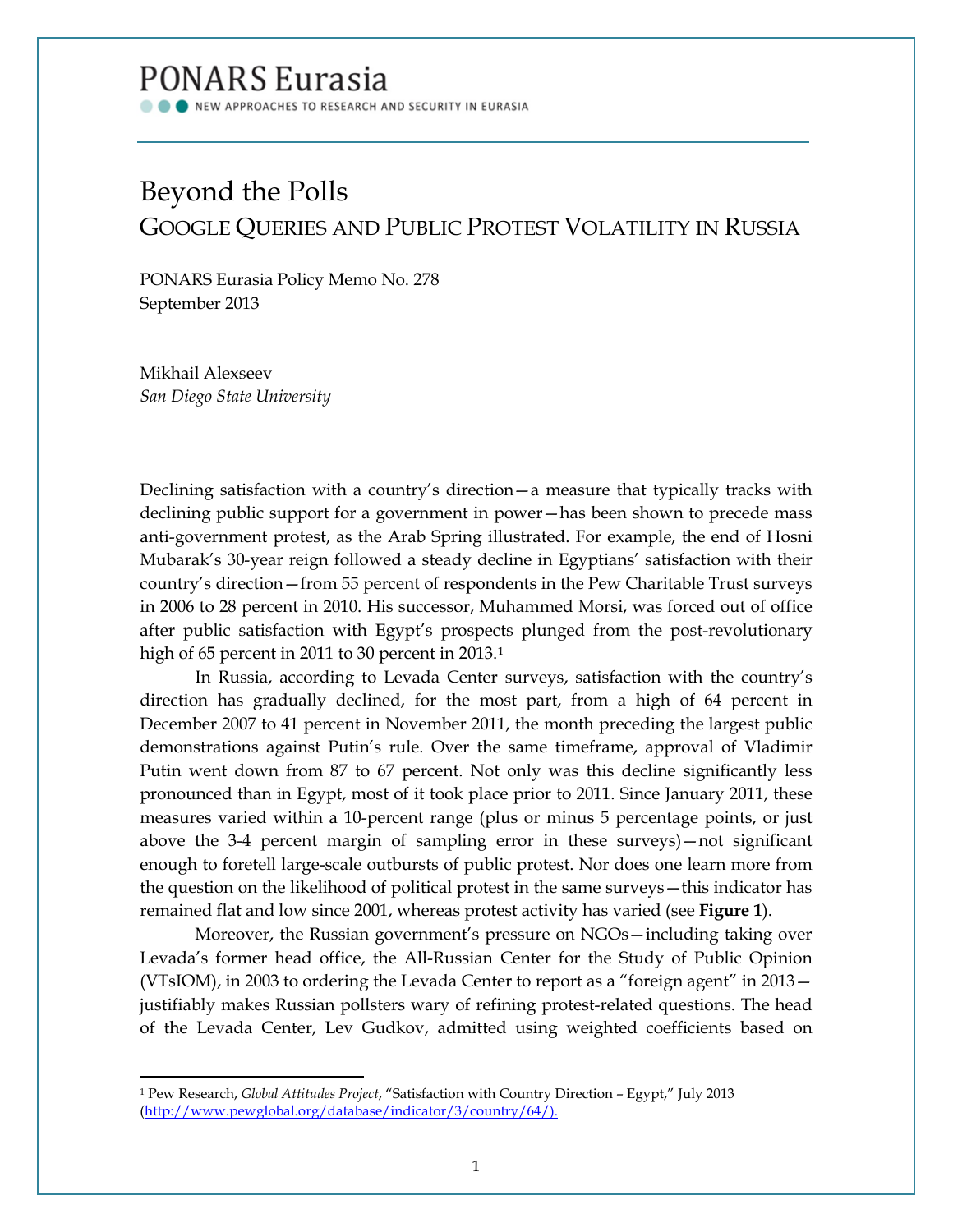# **PONARS Eurasia**

NEW APPROACHES TO RESEARCH AND SECURITY IN EURASIA

## Beyond the Polls GOOGLE QUERIES AND PUBLIC PROTEST VOLATILITY IN RUSSIA

PONARS Eurasia Policy Memo No. 278 September 2013

Mikhail Alexseev *San Diego State University*

l

Declining satisfaction with a country's direction—a measure that typically tracks with declining public support for a government in power—has been shown to precede mass anti-government protest, as the Arab Spring illustrated. For example, the end of Hosni Mubarak's 30-year reign followed a steady decline in Egyptians' satisfaction with their country's direction—from 55 percent of respondents in the Pew Charitable Trust surveys in 2006 to 28 percent in 2010. His successor, Muhammed Morsi, was forced out of office after public satisfaction with Egypt's prospects plunged from the post-revolutionary high of 65 percent in 20[1](#page-0-0)1 to 30 percent in 2013.<sup>1</sup>

In Russia, according to Levada Center surveys, satisfaction with the country's direction has gradually declined, for the most part, from a high of 64 percent in December 2007 to 41 percent in November 2011, the month preceding the largest public demonstrations against Putin's rule. Over the same timeframe, approval of Vladimir Putin went down from 87 to 67 percent. Not only was this decline significantly less pronounced than in Egypt, most of it took place prior to 2011. Since January 2011, these measures varied within a 10-percent range (plus or minus 5 percentage points, or just above the 3-4 percent margin of sampling error in these surveys)—not significant enough to foretell large-scale outbursts of public protest. Nor does one learn more from the question on the likelihood of political protest in the same surveys—this indicator has remained flat and low since 2001, whereas protest activity has varied (see **Figure 1**).

Moreover, the Russian government's pressure on NGOs—including taking over Levada's former head office, the All-Russian Center for the Study of Public Opinion (VTsIOM), in 2003 to ordering the Levada Center to report as a "foreign agent" in 2013 justifiably makes Russian pollsters wary of refining protest-related questions. The head of the Levada Center, Lev Gudkov, admitted using weighted coefficients based on

<span id="page-0-0"></span><sup>1</sup> Pew Research, *Global Attitudes Project*, "Satisfaction with Country Direction – Egypt," July 2013 [\(http://www.pewglobal.org/database/indicator/3/country/64/\)](http://www.pewglobal.org/database/indicator/3/country/64/).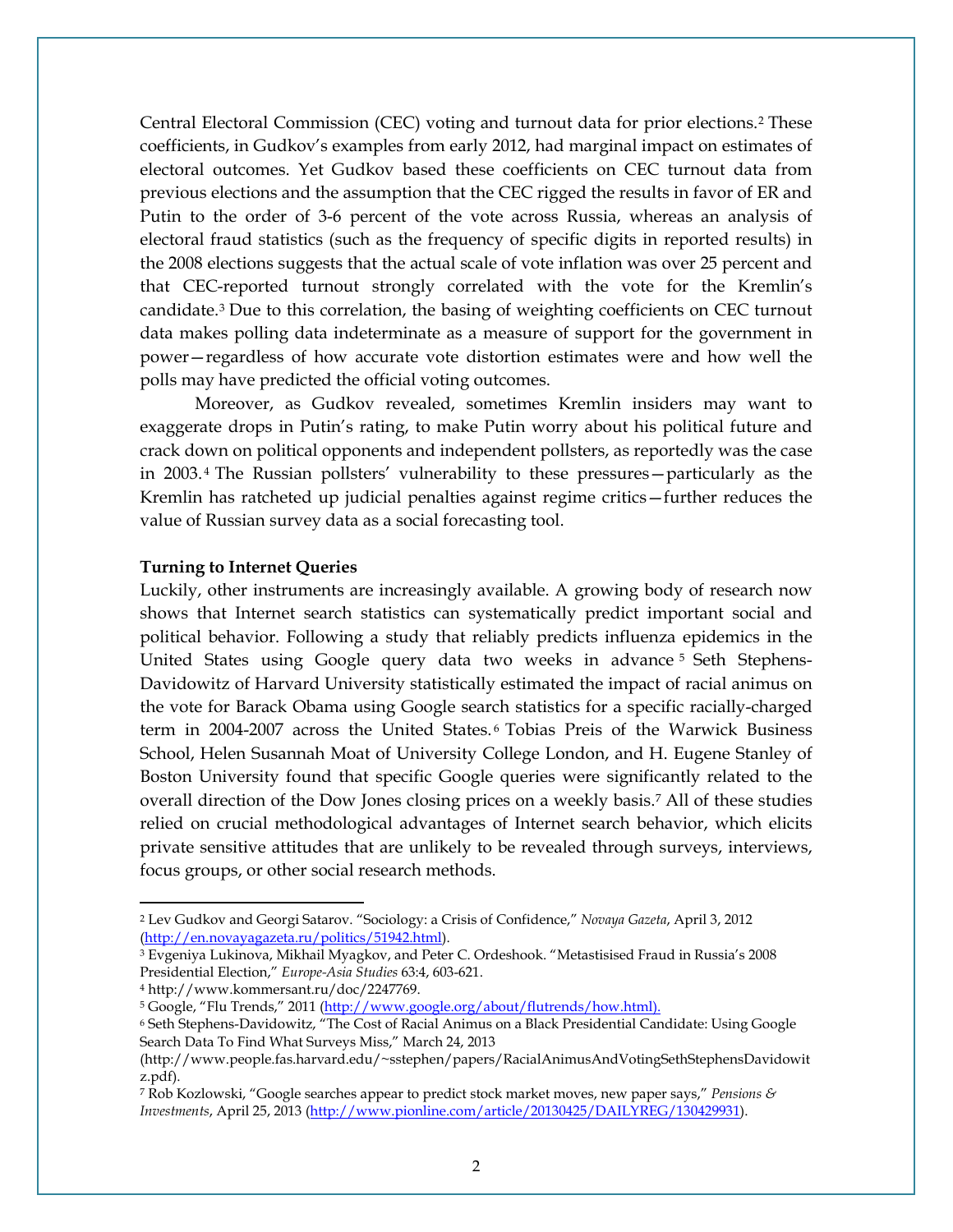Central Electoral Commission (CEC) voting and turnout data for prior elections.[2](#page-1-0) These coefficients, in Gudkov's examples from early 2012, had marginal impact on estimates of electoral outcomes. Yet Gudkov based these coefficients on CEC turnout data from previous elections and the assumption that the CEC rigged the results in favor of ER and Putin to the order of 3-6 percent of the vote across Russia, whereas an analysis of electoral fraud statistics (such as the frequency of specific digits in reported results) in the 2008 elections suggests that the actual scale of vote inflation was over 25 percent and that CEC-reported turnout strongly correlated with the vote for the Kremlin's candidate.[3](#page-1-1) Due to this correlation, the basing of weighting coefficients on CEC turnout data makes polling data indeterminate as a measure of support for the government in power—regardless of how accurate vote distortion estimates were and how well the polls may have predicted the official voting outcomes.

Moreover, as Gudkov revealed, sometimes Kremlin insiders may want to exaggerate drops in Putin's rating, to make Putin worry about his political future and crack down on political opponents and independent pollsters, as reportedly was the case in 2003. [4](#page-1-2) The Russian pollsters' vulnerability to these pressures—particularly as the Kremlin has ratcheted up judicial penalties against regime critics—further reduces the value of Russian survey data as a social forecasting tool.

#### **Turning to Internet Queries**

Luckily, other instruments are increasingly available. A growing body of research now shows that Internet search statistics can systematically predict important social and political behavior. Following a study that reliably predicts influenza epidemics in the United States using Google query data two weeks in advance [5](#page-1-3) Seth Stephens-Davidowitz of Harvard University statistically estimated the impact of racial animus on the vote for Barack Obama using Google search statistics for a specific racially-charged term in 2004-2007 across the United States. [6](#page-1-4) Tobias Preis of the Warwick Business School, Helen Susannah Moat of University College London, and H. Eugene Stanley of Boston University found that specific Google queries were significantly related to the overall direction of the Dow Jones closing prices on a weekly basis[.7](#page-1-5) All of these studies relied on crucial methodological advantages of Internet search behavior, which elicits private sensitive attitudes that are unlikely to be revealed through surveys, interviews, focus groups, or other social research methods.

l

<span id="page-1-0"></span><sup>2</sup> Lev Gudkov and Georgi Satarov. "Sociology: a Crisis of Confidence," *Novaya Gazeta*, April 3, 2012 [\(http://en.novayagazeta.ru/politics/51942.html\)](http://en.novayagazeta.ru/politics/51942.html).

<span id="page-1-1"></span><sup>3</sup> Evgeniya Lukinova, Mikhail Myagkov, and Peter C. Ordeshook. "Metastisised Fraud in Russia's 2008 Presidential Election," *Europe-Asia Studies* 63:4, 603-621.

<span id="page-1-2"></span><sup>4</sup> http://www.kommersant.ru/doc/2247769.

<span id="page-1-3"></span><sup>&</sup>lt;sup>5</sup> Google, "Flu Trends," 2011 [\(http://www.google.org/about/flutrends/how.html\)](http://www.google.org/about/flutrends/how.html).

<span id="page-1-4"></span><sup>6</sup> Seth Stephens-Davidowitz, "The Cost of Racial Animus on a Black Presidential Candidate: Using Google Search Data To Find What Surveys Miss," March 24, 2013

<sup>(</sup>http://www.people.fas.harvard.edu/~sstephen/papers/RacialAnimusAndVotingSethStephensDavidowit z.pdf).

<span id="page-1-5"></span><sup>7</sup> Rob Kozlowski, "Google searches appear to predict stock market moves, new paper says," *Pensions & Investments*, April 25, 2013 [\(http://www.pionline.com/article/20130425/DAILYREG/130429931\)](http://www.pionline.com/article/20130425/DAILYREG/130429931).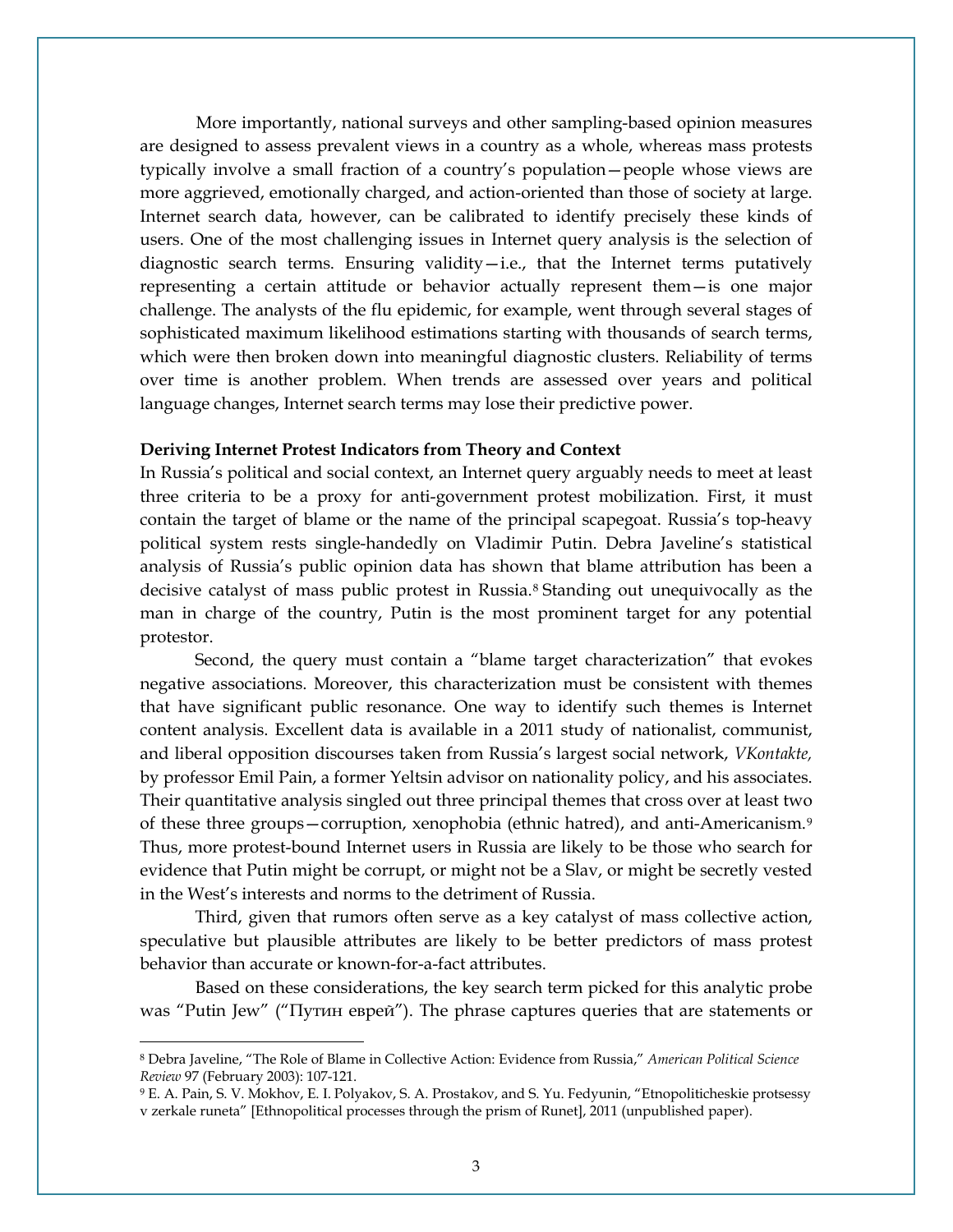More importantly, national surveys and other sampling-based opinion measures are designed to assess prevalent views in a country as a whole, whereas mass protests typically involve a small fraction of a country's population—people whose views are more aggrieved, emotionally charged, and action-oriented than those of society at large. Internet search data, however, can be calibrated to identify precisely these kinds of users. One of the most challenging issues in Internet query analysis is the selection of diagnostic search terms. Ensuring validity—i.e., that the Internet terms putatively representing a certain attitude or behavior actually represent them—is one major challenge. The analysts of the flu epidemic, for example, went through several stages of sophisticated maximum likelihood estimations starting with thousands of search terms, which were then broken down into meaningful diagnostic clusters. Reliability of terms over time is another problem. When trends are assessed over years and political language changes, Internet search terms may lose their predictive power.

#### **Deriving Internet Protest Indicators from Theory and Context**

In Russia's political and social context, an Internet query arguably needs to meet at least three criteria to be a proxy for anti-government protest mobilization. First, it must contain the target of blame or the name of the principal scapegoat. Russia's top-heavy political system rests single-handedly on Vladimir Putin. Debra Javeline's statistical analysis of Russia's public opinion data has shown that blame attribution has been a decisive catalyst of mass public protest in Russia.[8](#page-2-0) Standing out unequivocally as the man in charge of the country, Putin is the most prominent target for any potential protestor.

Second, the query must contain a "blame target characterization" that evokes negative associations. Moreover, this characterization must be consistent with themes that have significant public resonance. One way to identify such themes is Internet content analysis. Excellent data is available in a 2011 study of nationalist, communist, and liberal opposition discourses taken from Russia's largest social network, *VKontakte,* by professor Emil Pain, a former Yeltsin advisor on nationality policy, and his associates. Their quantitative analysis singled out three principal themes that cross over at least two of these three groups—corruption, xenophobia (ethnic hatred), and anti-Americanism.[9](#page-2-1) Thus, more protest-bound Internet users in Russia are likely to be those who search for evidence that Putin might be corrupt, or might not be a Slav, or might be secretly vested in the West's interests and norms to the detriment of Russia.

Third, given that rumors often serve as a key catalyst of mass collective action, speculative but plausible attributes are likely to be better predictors of mass protest behavior than accurate or known-for-a-fact attributes.

Based on these considerations, the key search term picked for this analytic probe was "Putin Jew" ("Путин еврей"). The phrase captures queries that are statements or

l

<span id="page-2-0"></span><sup>8</sup> Debra Javeline, "The Role of Blame in Collective Action: Evidence from Russia," *American Political Science Review* 97 (February 2003): 107-121.

<span id="page-2-1"></span><sup>9</sup> E. A. Pain, S. V. Mokhov, E. I. Polyakov, S. A. Prostakov, and S. Yu. Fedyunin, "Etnopoliticheskie protsessy v zerkale runeta" [Ethnopolitical processes through the prism of Runet], 2011 (unpublished paper).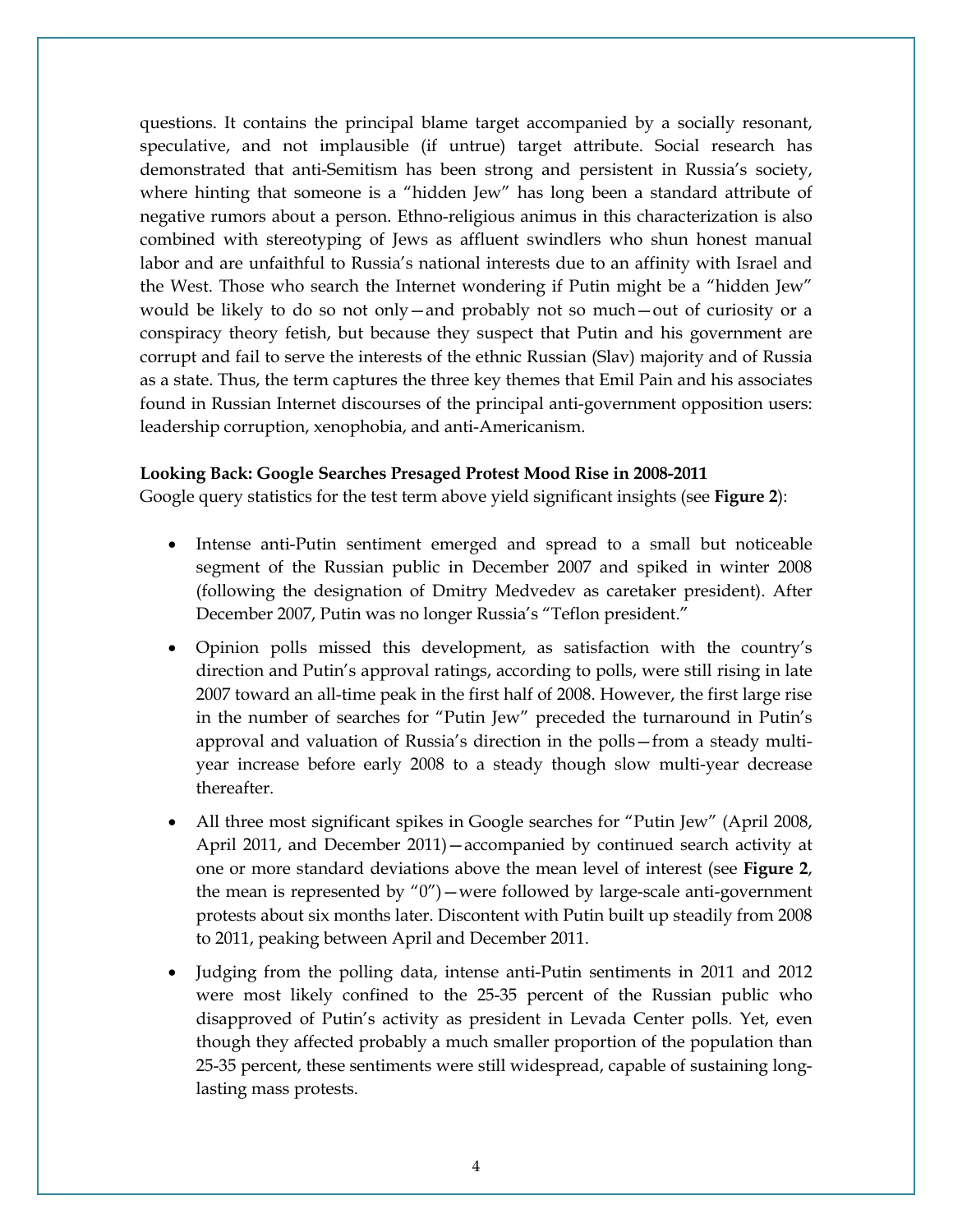questions. It contains the principal blame target accompanied by a socially resonant, speculative, and not implausible (if untrue) target attribute. Social research has demonstrated that anti-Semitism has been strong and persistent in Russia's society, where hinting that someone is a "hidden Jew" has long been a standard attribute of negative rumors about a person. Ethno-religious animus in this characterization is also combined with stereotyping of Jews as affluent swindlers who shun honest manual labor and are unfaithful to Russia's national interests due to an affinity with Israel and the West. Those who search the Internet wondering if Putin might be a "hidden Jew" would be likely to do so not only—and probably not so much—out of curiosity or a conspiracy theory fetish, but because they suspect that Putin and his government are corrupt and fail to serve the interests of the ethnic Russian (Slav) majority and of Russia as a state. Thus, the term captures the three key themes that Emil Pain and his associates found in Russian Internet discourses of the principal anti-government opposition users: leadership corruption, xenophobia, and anti-Americanism.

### **Looking Back: Google Searches Presaged Protest Mood Rise in 2008-2011**

Google query statistics for the test term above yield significant insights (see **Figure 2**):

- Intense anti-Putin sentiment emerged and spread to a small but noticeable segment of the Russian public in December 2007 and spiked in winter 2008 (following the designation of Dmitry Medvedev as caretaker president). After December 2007, Putin was no longer Russia's "Teflon president."
- Opinion polls missed this development, as satisfaction with the country's direction and Putin's approval ratings, according to polls, were still rising in late 2007 toward an all-time peak in the first half of 2008. However, the first large rise in the number of searches for "Putin Jew" preceded the turnaround in Putin's approval and valuation of Russia's direction in the polls—from a steady multiyear increase before early 2008 to a steady though slow multi-year decrease thereafter.
- All three most significant spikes in Google searches for "Putin Jew" (April 2008, April 2011, and December 2011)—accompanied by continued search activity at one or more standard deviations above the mean level of interest (see **Figure 2**, the mean is represented by  $(0'')$  —were followed by large-scale anti-government protests about six months later. Discontent with Putin built up steadily from 2008 to 2011, peaking between April and December 2011.
- Judging from the polling data, intense anti-Putin sentiments in 2011 and 2012 were most likely confined to the 25-35 percent of the Russian public who disapproved of Putin's activity as president in Levada Center polls. Yet, even though they affected probably a much smaller proportion of the population than 25-35 percent, these sentiments were still widespread, capable of sustaining longlasting mass protests.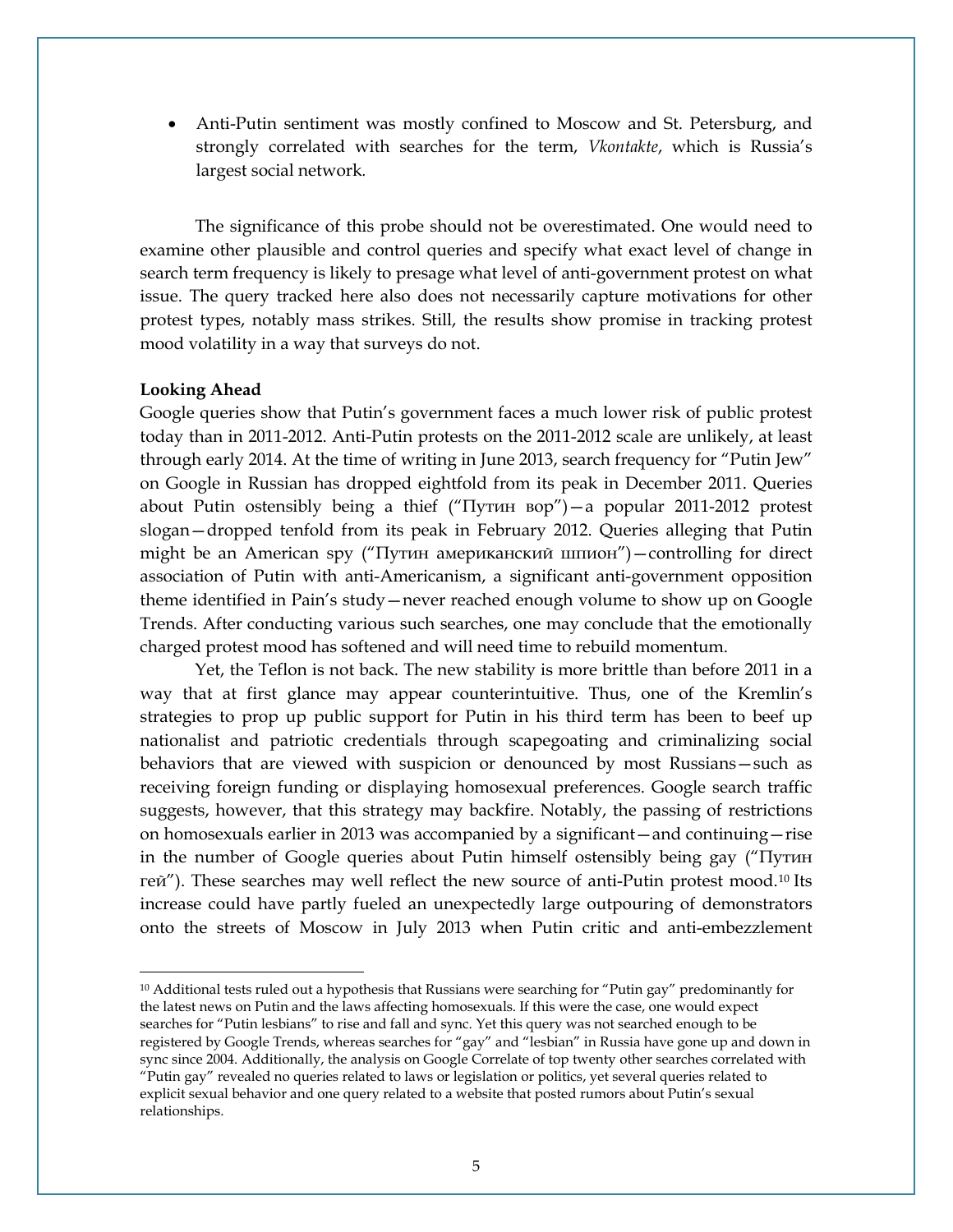• Anti-Putin sentiment was mostly confined to Moscow and St. Petersburg, and strongly correlated with searches for the term, *Vkontakte*, which is Russia's largest social network*.*

The significance of this probe should not be overestimated. One would need to examine other plausible and control queries and specify what exact level of change in search term frequency is likely to presage what level of anti-government protest on what issue. The query tracked here also does not necessarily capture motivations for other protest types, notably mass strikes. Still, the results show promise in tracking protest mood volatility in a way that surveys do not.

#### **Looking Ahead**

l

Google queries show that Putin's government faces a much lower risk of public protest today than in 2011-2012. Anti-Putin protests on the 2011-2012 scale are unlikely, at least through early 2014. At the time of writing in June 2013, search frequency for "Putin Jew" on Google in Russian has dropped eightfold from its peak in December 2011. Queries about Putin ostensibly being a thief ("Путин вор")—a popular 2011-2012 protest slogan—dropped tenfold from its peak in February 2012. Queries alleging that Putin might be an American spy ("Путин американский шпион")—controlling for direct association of Putin with anti-Americanism, a significant anti-government opposition theme identified in Pain's study—never reached enough volume to show up on Google Trends. After conducting various such searches, one may conclude that the emotionally charged protest mood has softened and will need time to rebuild momentum.

Yet, the Teflon is not back. The new stability is more brittle than before 2011 in a way that at first glance may appear counterintuitive. Thus, one of the Kremlin's strategies to prop up public support for Putin in his third term has been to beef up nationalist and patriotic credentials through scapegoating and criminalizing social behaviors that are viewed with suspicion or denounced by most Russians—such as receiving foreign funding or displaying homosexual preferences. Google search traffic suggests, however, that this strategy may backfire. Notably, the passing of restrictions on homosexuals earlier in 2013 was accompanied by a significant—and continuing—rise in the number of Google queries about Putin himself ostensibly being gay ("Путин гей"). These searches may well reflect the new source of anti-Putin protest mood.[10](#page-4-0) Its increase could have partly fueled an unexpectedly large outpouring of demonstrators onto the streets of Moscow in July 2013 when Putin critic and anti-embezzlement

<span id="page-4-0"></span><sup>10</sup> Additional tests ruled out a hypothesis that Russians were searching for "Putin gay" predominantly for the latest news on Putin and the laws affecting homosexuals. If this were the case, one would expect searches for "Putin lesbians" to rise and fall and sync. Yet this query was not searched enough to be registered by Google Trends, whereas searches for "gay" and "lesbian" in Russia have gone up and down in sync since 2004. Additionally, the analysis on Google Correlate of top twenty other searches correlated with "Putin gay" revealed no queries related to laws or legislation or politics, yet several queries related to explicit sexual behavior and one query related to a website that posted rumors about Putin's sexual relationships.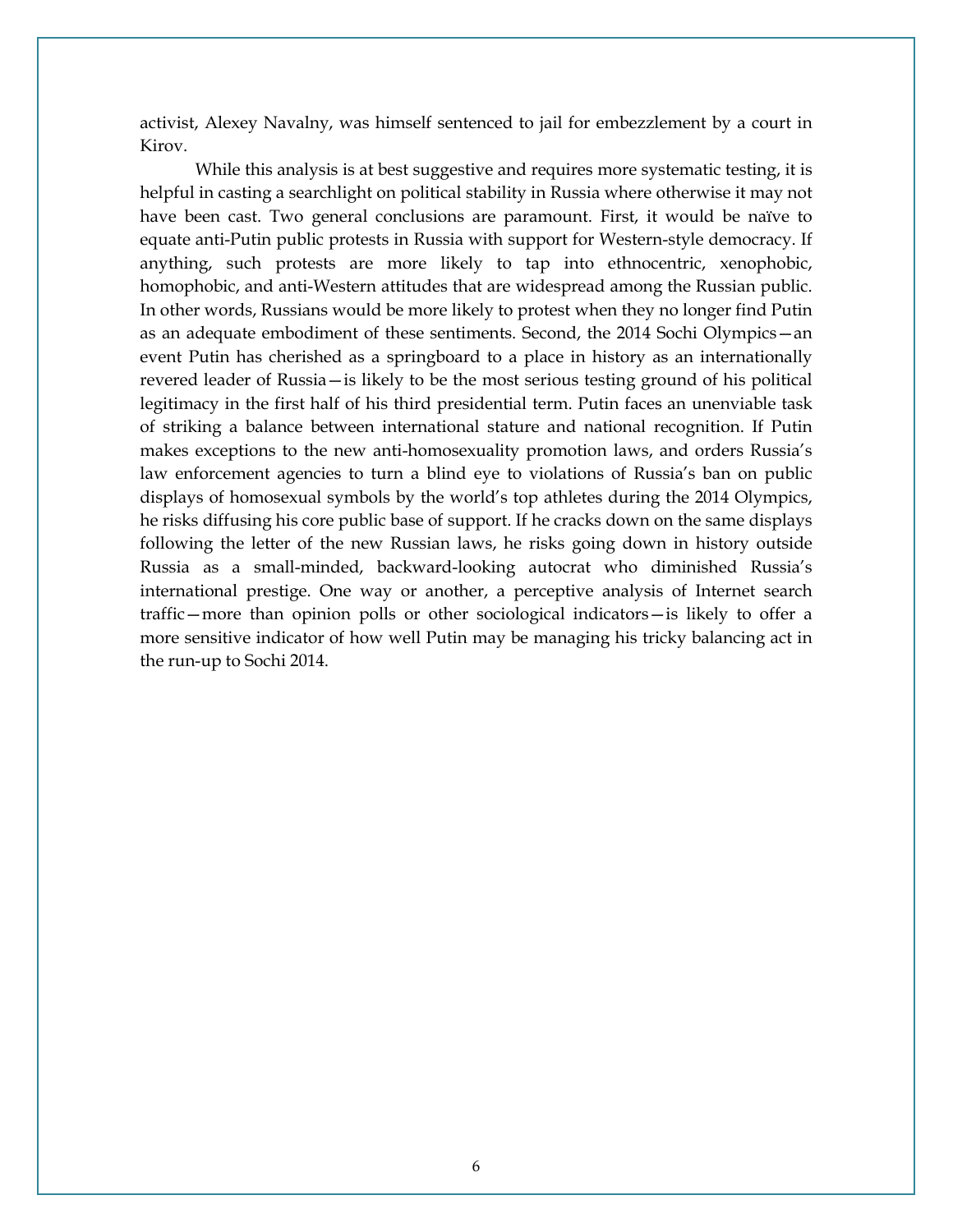activist, Alexey Navalny, was himself sentenced to jail for embezzlement by a court in Kirov.

While this analysis is at best suggestive and requires more systematic testing, it is helpful in casting a searchlight on political stability in Russia where otherwise it may not have been cast. Two general conclusions are paramount. First, it would be naïve to equate anti-Putin public protests in Russia with support for Western-style democracy. If anything, such protests are more likely to tap into ethnocentric, xenophobic, homophobic, and anti-Western attitudes that are widespread among the Russian public. In other words, Russians would be more likely to protest when they no longer find Putin as an adequate embodiment of these sentiments. Second, the 2014 Sochi Olympics—an event Putin has cherished as a springboard to a place in history as an internationally revered leader of Russia—is likely to be the most serious testing ground of his political legitimacy in the first half of his third presidential term. Putin faces an unenviable task of striking a balance between international stature and national recognition. If Putin makes exceptions to the new anti-homosexuality promotion laws, and orders Russia's law enforcement agencies to turn a blind eye to violations of Russia's ban on public displays of homosexual symbols by the world's top athletes during the 2014 Olympics, he risks diffusing his core public base of support. If he cracks down on the same displays following the letter of the new Russian laws, he risks going down in history outside Russia as a small-minded, backward-looking autocrat who diminished Russia's international prestige. One way or another, a perceptive analysis of Internet search traffic—more than opinion polls or other sociological indicators—is likely to offer a more sensitive indicator of how well Putin may be managing his tricky balancing act in the run-up to Sochi 2014.